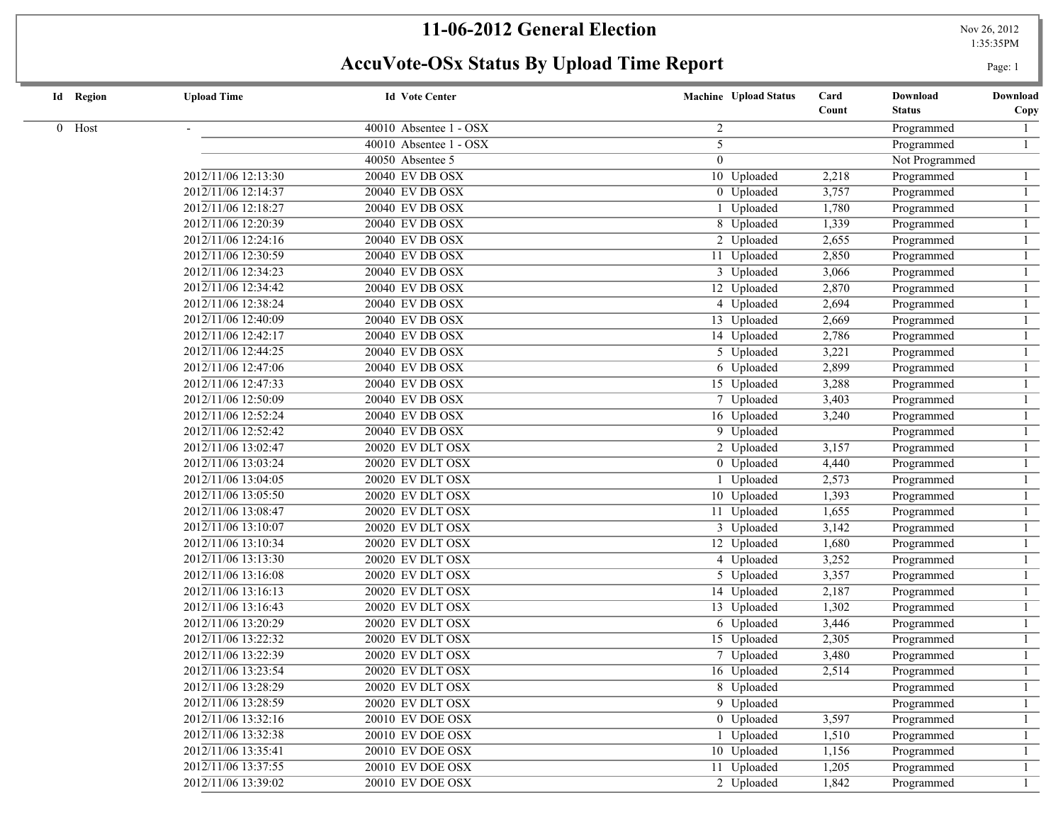## **11-06-2012 General Election** Nov 26, 2012

**AccuVote-OSx Status By Upload Time Report** Page: 1

1:35:35PM

|          | <b>Id</b> Region | <b>Upload Time</b>  | <b>Id Vote Center</b>  | <b>Machine</b> Upload Status | Card  | Download       | Download       |
|----------|------------------|---------------------|------------------------|------------------------------|-------|----------------|----------------|
|          |                  |                     |                        |                              | Count | <b>Status</b>  | Copy           |
| $0$ Host |                  |                     | 40010 Absentee 1 - OSX | $\overline{2}$               |       | Programmed     | $\mathbf{1}$   |
|          |                  |                     | 40010 Absentee 1 - OSX | $\overline{5}$               |       | Programmed     | $\mathbf{1}$   |
|          |                  |                     | 40050 Absentee 5       | $\theta$                     |       | Not Programmed |                |
|          |                  | 2012/11/06 12:13:30 | $20040$ EV DB OSX      | 10 Uploaded                  | 2,218 | Programmed     | $\mathbf{1}$   |
|          |                  | 2012/11/06 12:14:37 | <b>20040 EV DB OSX</b> | 0 Uploaded                   | 3,757 | Programmed     | $\overline{1}$ |
|          |                  | 2012/11/06 12:18:27 | <b>20040 EV DB OSX</b> | 1 Uploaded                   | 1,780 | Programmed     | $\overline{1}$ |
|          |                  | 2012/11/06 12:20:39 | <b>20040 EV DB OSX</b> | 8 Uploaded                   | 1,339 | Programmed     | $\mathbf{1}$   |
|          |                  | 2012/11/06 12:24:16 | <b>20040 EV DB OSX</b> | 2 Uploaded                   | 2,655 | Programmed     | $\mathbf{1}$   |
|          |                  | 2012/11/06 12:30:59 | <b>20040 EV DB OSX</b> | 11 Uploaded                  | 2,850 | Programmed     | $\mathbf{1}$   |
|          |                  | 2012/11/06 12:34:23 | <b>20040 EV DB OSX</b> | 3 Uploaded                   | 3,066 | Programmed     | $\overline{1}$ |
|          |                  | 2012/11/06 12:34:42 | <b>20040 EV DB OSX</b> | 12 Uploaded                  | 2,870 | Programmed     | $\mathbf{1}$   |
|          |                  | 2012/11/06 12:38:24 | <b>20040 EV DB OSX</b> | 4 Uploaded                   | 2,694 | Programmed     | $\overline{1}$ |
|          |                  | 2012/11/06 12:40:09 | <b>20040 EV DB OSX</b> | 13 Uploaded                  | 2,669 | Programmed     | $\overline{1}$ |
|          |                  | 2012/11/06 12:42:17 | <b>20040 EV DB OSX</b> | 14 Uploaded                  | 2,786 | Programmed     | $\mathbf{1}$   |
|          |                  | 2012/11/06 12:44:25 | <b>20040 EV DB OSX</b> | 5 Uploaded                   | 3,221 | Programmed     | $\overline{1}$ |
|          |                  | 2012/11/06 12:47:06 | <b>20040 EV DB OSX</b> | 6 Uploaded                   | 2,899 | Programmed     | $\mathbf{1}$   |
|          |                  | 2012/11/06 12:47:33 | <b>20040 EV DB OSX</b> | 15 Uploaded                  | 3,288 | Programmed     | $\mathbf{1}$   |
|          |                  | 2012/11/06 12:50:09 | <b>20040 EV DB OSX</b> | 7 Uploaded                   | 3,403 | Programmed     | $\mathbf{1}$   |
|          |                  | 2012/11/06 12:52:24 | $20040$ EV DB OSX      | 16 Uploaded                  | 3,240 | Programmed     | $\overline{1}$ |
|          |                  | 2012/11/06 12:52:42 | <b>20040 EV DB OSX</b> | 9 Uploaded                   |       | Programmed     | $\mathbf{1}$   |
|          |                  | 2012/11/06 13:02:47 | 20020 EV DLT OSX       | 2 Uploaded                   | 3,157 | Programmed     | $\mathbf{1}$   |
|          |                  | 2012/11/06 13:03:24 | 20020 EV DLT OSX       | 0 Uploaded                   | 4,440 | Programmed     | $\mathbf{1}$   |
|          |                  | 2012/11/06 13:04:05 | 20020 EV DLT OSX       | 1 Uploaded                   | 2,573 | Programmed     | $\mathbf{1}$   |
|          |                  | 2012/11/06 13:05:50 | 20020 EV DLT OSX       | 10 Uploaded                  | 1,393 | Programmed     | $\mathbf{1}$   |
|          |                  | 2012/11/06 13:08:47 | 20020 EV DLT OSX       | 11 Uploaded                  | 1,655 | Programmed     | $\mathbf{1}$   |
|          |                  | 2012/11/06 13:10:07 | 20020 EV DLT OSX       | 3 Uploaded                   | 3,142 | Programmed     | $\mathbf{1}$   |
|          |                  | 2012/11/06 13:10:34 | 20020 EV DLT OSX       | 12 Uploaded                  | 1,680 | Programmed     | $\overline{1}$ |
|          |                  | 2012/11/06 13:13:30 | 20020 EV DLT OSX       | 4 Uploaded                   | 3,252 | Programmed     | $\mathbf{1}$   |
|          |                  | 2012/11/06 13:16:08 | 20020 EV DLT OSX       | 5 Uploaded                   | 3,357 | Programmed     | $\overline{1}$ |
|          |                  | 2012/11/06 13:16:13 | 20020 EV DLT OSX       | 14 Uploaded                  | 2,187 | Programmed     | $\mathbf{1}$   |
|          |                  | 2012/11/06 13:16:43 | 20020 EV DLT OSX       | 13 Uploaded                  | 1,302 | Programmed     | $\mathbf{1}$   |
|          |                  | 2012/11/06 13:20:29 | 20020 EV DLT OSX       | 6 Uploaded                   | 3,446 | Programmed     | $\mathbf{1}$   |
|          |                  | 2012/11/06 13:22:32 | 20020 EV DLT OSX       | 15 Uploaded                  | 2,305 | Programmed     | $\overline{1}$ |
|          |                  | 2012/11/06 13:22:39 | 20020 EV DLT OSX       | 7 Uploaded                   | 3,480 | Programmed     | $\overline{1}$ |
|          |                  | 2012/11/06 13:23:54 | 20020 EV DLT OSX       | 16 Uploaded                  | 2,514 | Programmed     | $\mathbf{1}$   |
|          |                  | 2012/11/06 13:28:29 | 20020 EV DLT OSX       | 8 Uploaded                   |       | Programmed     | $\overline{1}$ |
|          |                  | 2012/11/06 13:28:59 | 20020 EV DLT OSX       | 9 Uploaded                   |       | Programmed     | 1              |
|          |                  | 2012/11/06 13:32:16 | 20010 EV DOE OSX       | 0 Uploaded                   | 3,597 | Programmed     | $\mathbf{1}$   |
|          |                  | 2012/11/06 13:32:38 | 20010 EV DOE OSX       | 1 Uploaded                   | 1,510 | Programmed     | $\mathbf{1}$   |
|          |                  | 2012/11/06 13:35:41 | 20010 EV DOE OSX       | 10 Uploaded                  | 1,156 | Programmed     | $\overline{1}$ |
|          |                  | 2012/11/06 13:37:55 | 20010 EV DOE OSX       | 11 Uploaded                  | 1,205 | Programmed     | $\mathbf{1}$   |
|          |                  | 2012/11/06 13:39:02 | 20010 EV DOE OSX       | 2 Uploaded                   | 1,842 | Programmed     | $\mathbf{1}$   |
|          |                  |                     |                        |                              |       |                |                |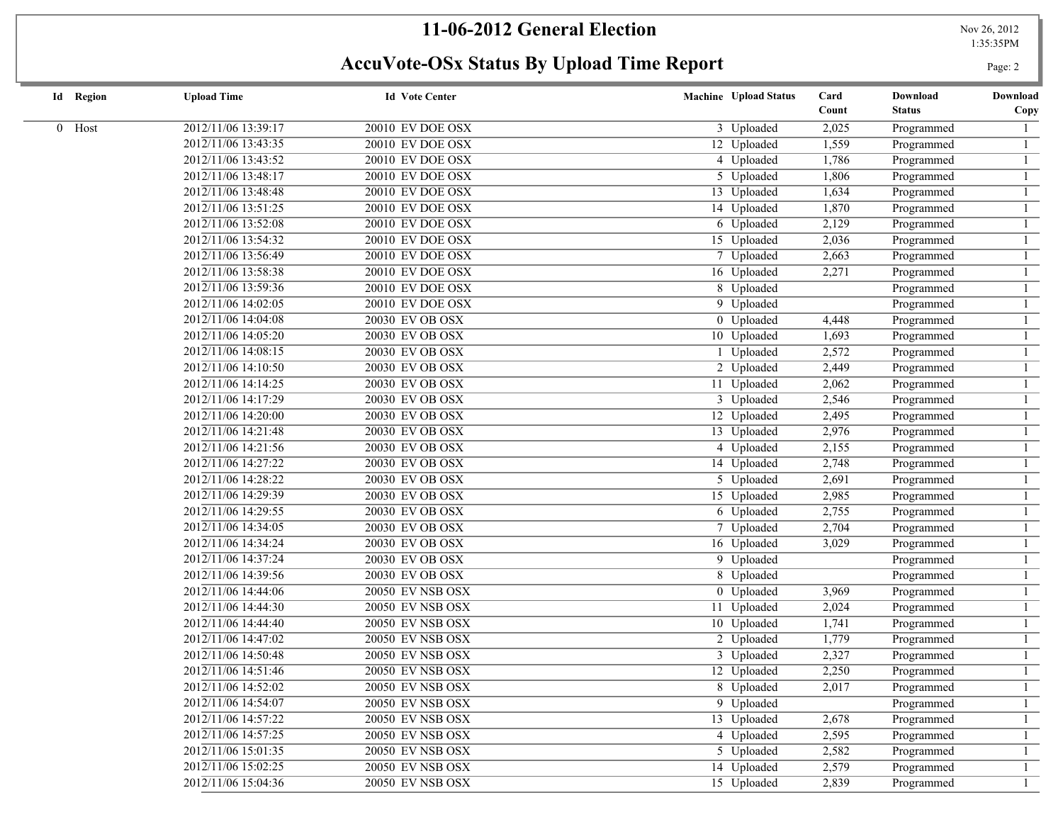## **11-06-2012 General Election** Nov 26, 2012

**AccuVote-OSx Status By Upload Time Report** Page: 2

1:35:35PM

|  | <b>Id</b> Region | <b>Upload Time</b>  | <b>Id Vote Center</b>   | <b>Machine</b> Upload Status | Card<br>Count | Download<br><b>Status</b> | Download<br>Copy |
|--|------------------|---------------------|-------------------------|------------------------------|---------------|---------------------------|------------------|
|  | $0$ Host         | 2012/11/06 13:39:17 | 20010 EV DOE OSX        | 3 Uploaded                   | 2,025         | Programmed                |                  |
|  |                  | 2012/11/06 13:43:35 | 20010 EV DOE OSX        | 12 Uploaded                  | 1,559         | Programmed                | $\mathbf{1}$     |
|  |                  | 2012/11/06 13:43:52 | 20010 EV DOE OSX        | 4 Uploaded                   | 1,786         | Programmed                | $\mathbf{1}$     |
|  |                  | 2012/11/06 13:48:17 | 20010 EV DOE OSX        | 5 Uploaded                   | 1,806         | Programmed                | $\mathbf{1}$     |
|  |                  | 2012/11/06 13:48:48 | 20010 EV DOE OSX        | 13 Uploaded                  | 1,634         | Programmed                | $\overline{1}$   |
|  |                  | 2012/11/06 13:51:25 | 20010 EV DOE OSX        | 14 Uploaded                  | 1,870         | Programmed                | $\overline{1}$   |
|  |                  | 2012/11/06 13:52:08 | 20010 EV DOE OSX        | 6 Uploaded                   | 2,129         | Programmed                | $\mathbf{1}$     |
|  |                  | 2012/11/06 13:54:32 | 20010 EV DOE OSX        | 15 Uploaded                  | 2,036         | Programmed                | $\mathbf{1}$     |
|  |                  | 2012/11/06 13:56:49 | <b>20010 EV DOE OSX</b> | 7 Uploaded                   | 2,663         | Programmed                | $\mathbf{1}$     |
|  |                  | 2012/11/06 13:58:38 | 20010 EV DOE OSX        | 16 Uploaded                  | 2,271         | Programmed                | $\overline{1}$   |
|  |                  | 2012/11/06 13:59:36 | 20010 EV DOE OSX        | 8 Uploaded                   |               | Programmed                | $\mathbf{1}$     |
|  |                  | 2012/11/06 14:02:05 | 20010 EV DOE OSX        | 9 Uploaded                   |               | Programmed                | $\mathbf{1}$     |
|  |                  | 2012/11/06 14:04:08 | 20030 EV OB OSX         | 0 Uploaded                   | 4,448         | Programmed                | $\mathbf{1}$     |
|  |                  | 2012/11/06 14:05:20 | <b>20030 EV OB OSX</b>  | 10 Uploaded                  | 1,693         | Programmed                | $\overline{1}$   |
|  |                  | 2012/11/06 14:08:15 | <b>20030 EV OB OSX</b>  | 1 Uploaded                   | 2,572         | Programmed                | $\mathbf{1}$     |
|  |                  | 2012/11/06 14:10:50 | <b>20030 EV OB OSX</b>  | 2 Uploaded                   | 2,449         | Programmed                | $\mathbf{1}$     |
|  |                  | 2012/11/06 14:14:25 | 20030 EV OB OSX         | 11 Uploaded                  | 2,062         | Programmed                | $\mathbf{1}$     |
|  |                  | 2012/11/06 14:17:29 | <b>20030 EV OB OSX</b>  | 3 Uploaded                   | 2,546         | Programmed                | $\overline{1}$   |
|  |                  | 2012/11/06 14:20:00 | <b>20030 EV OB OSX</b>  | 12 Uploaded                  | 2,495         | Programmed                | $\mathbf{1}$     |
|  |                  | 2012/11/06 14:21:48 | <b>20030 EV OB OSX</b>  | 13 Uploaded                  | 2,976         | Programmed                | $\mathbf{1}$     |
|  |                  | 2012/11/06 14:21:56 | 20030 EV OB OSX         | 4 Uploaded                   | 2,155         | Programmed                | $\mathbf{1}$     |
|  |                  | 2012/11/06 14:27:22 | 20030 EV OB OSX         | 14 Uploaded                  | 2,748         | Programmed                | $\overline{1}$   |
|  |                  | 2012/11/06 14:28:22 | <b>20030 EV OB OSX</b>  | 5 Uploaded                   | 2,691         | Programmed                | $\mathbf{1}$     |
|  |                  | 2012/11/06 14:29:39 | <b>20030 EV OB OSX</b>  | 15 Uploaded                  | 2,985         | Programmed                | $\mathbf{1}$     |
|  |                  | 2012/11/06 14:29:55 | <b>20030 EV OB OSX</b>  | 6 Uploaded                   | 2,755         | Programmed                | $\mathbf{1}$     |
|  |                  | 2012/11/06 14:34:05 | <b>20030 EV OB OSX</b>  | 7 Uploaded                   | 2,704         | Programmed                | $\overline{1}$   |
|  |                  | 2012/11/06 14:34:24 | <b>20030 EV OB OSX</b>  | 16 Uploaded                  | 3,029         | Programmed                | $\mathbf{1}$     |
|  |                  | 2012/11/06 14:37:24 | <b>20030 EV OB OSX</b>  | 9 Uploaded                   |               | Programmed                | $\mathbf{1}$     |
|  |                  | 2012/11/06 14:39:56 | <b>20030 EV OB OSX</b>  | 8 Uploaded                   |               | Programmed                | 1                |
|  |                  | 2012/11/06 14:44:06 | <b>20050 EV NSB OSX</b> | 0 Uploaded                   | 3,969         | Programmed                | $\mathbf{1}$     |
|  |                  | 2012/11/06 14:44:30 | <b>20050 EV NSB OSX</b> | 11 Uploaded                  | 2,024         | Programmed                | $\mathbf{1}$     |
|  |                  | 2012/11/06 14:44:40 | <b>20050 EV NSB OSX</b> | 10 Uploaded                  | 1,741         | Programmed                | $\mathbf{1}$     |
|  |                  | 2012/11/06 14:47:02 | 20050 EV NSB OSX        | 2 Uploaded                   | 1,779         | Programmed                | $\mathbf{1}$     |
|  |                  | 2012/11/06 14:50:48 | <b>20050 EV NSB OSX</b> | 3 Uploaded                   | 2,327         | Programmed                | $\mathbf{1}$     |
|  |                  | 2012/11/06 14:51:46 | <b>20050 EV NSB OSX</b> | 12 Uploaded                  | 2,250         | Programmed                | $\mathbf{1}$     |
|  |                  | 2012/11/06 14:52:02 | <b>20050 EV NSB OSX</b> | 8 Uploaded                   | 2,017         | Programmed                | $\mathbf{1}$     |
|  |                  | 2012/11/06 14:54:07 | 20050 EV NSB OSX        | 9 Uploaded                   |               | Programmed                | $\mathbf{1}$     |
|  |                  | 2012/11/06 14:57:22 | <b>20050 EV NSB OSX</b> | 13 Uploaded                  | 2,678         | Programmed                | $\mathbf{1}$     |
|  |                  | 2012/11/06 14:57:25 | <b>20050 EV NSB OSX</b> | 4 Uploaded                   | 2,595         | Programmed                | $\mathbf{1}$     |
|  |                  | 2012/11/06 15:01:35 | <b>20050 EV NSB OSX</b> | 5 Uploaded                   | 2,582         | Programmed                | $\mathbf{1}$     |
|  |                  | 2012/11/06 15:02:25 | <b>20050 EV NSB OSX</b> | 14 Uploaded                  | 2,579         | Programmed                | $\overline{1}$   |
|  |                  |                     |                         |                              |               |                           |                  |

2012/11/06 15:04:36 20050 EV NSB OSX 15 Uploaded 2,839 Programmed 1